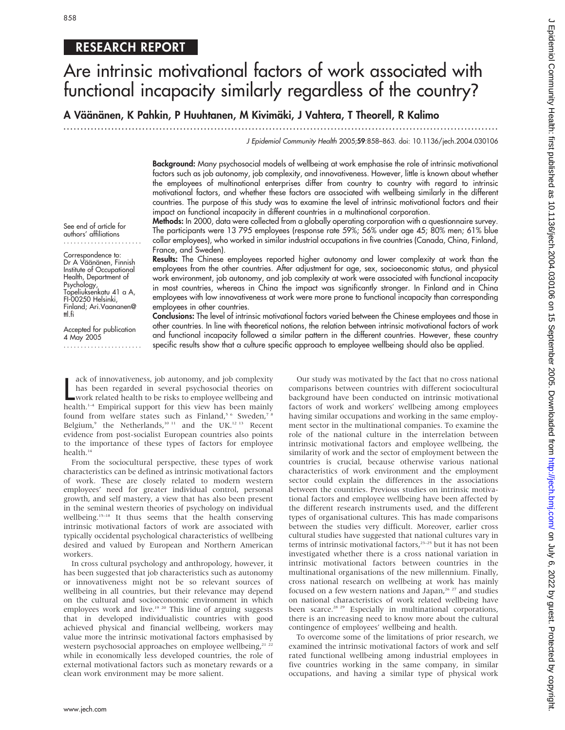## RESEARCH REPORT

# Are intrinsic motivational factors of work associated with functional incapacity similarly regardless of the country?

A Väänänen, K Pahkin, P Huuhtanen, M Kivimäki, J Vahtera, T Theorell, R Kalimo

...............................................................................................................................

J Epidemiol Community Health 2005;59:858–863. doi: 10.1136/jech.2004.030106

Background: Many psychosocial models of wellbeing at work emphasise the role of intrinsic motivational factors such as job autonomy, job complexity, and innovativeness. However, little is known about whether the employees of multinational enterprises differ from country to country with regard to intrinsic motivational factors, and whether these factors are associated with wellbeing similarly in the different countries. The purpose of this study was to examine the level of intrinsic motivational factors and their impact on functional incapacity in different countries in a multinational corporation.

Methods: In 2000, data were collected from a globally operating corporation with a questionnaire survey. The participants were 13 795 employees (response rate 59%; 56% under age 45; 80% men; 61% blue collar employees), who worked in similar industrial occupations in five countries (Canada, China, Finland, France, and Sweden).

Results: The Chinese employees reported higher autonomy and lower complexity at work than the employees from the other countries. After adjustment for age, sex, socioeconomic status, and physical work environment, job autonomy, and job complexity at work were associated with functional incapacity in most countries, whereas in China the impact was significantly stronger. In Finland and in China employees with low innovativeness at work were more prone to functional incapacity than corresponding employees in other countries.

Conclusions: The level of intrinsic motivational factors varied between the Chinese employees and those in other countries. In line with theoretical notions, the relation between intrinsic motivational factors of work and functional incapacity followed a similar pattern in the different countries. However, these country specific results show that a culture specific approach to employee wellbeing should also be applied.

See end of article for authors' affiliations .......................

Correspondence to: Dr A Väänänen, Finnish Institute of Occupational Health, Department of Psychology, Topeliuksenkatu 41 a A, FI-00250 Helsinki, Finland; Ari.Vaananen@ ttl.fi

Accepted for publication 4 May 2005 .......................

ack of innovativeness, job autonomy, and job complexity<br>has been regarded in several psychosocial theories on<br>work related health to be risks to employee wellbeing and<br>health.<sup>1-4</sup> Empirical support for this view has been ack of innovativeness, job autonomy, and job complexity has been regarded in several psychosocial theories on work related health to be risks to employee wellbeing and found from welfare states such as Finland,<sup>5 6</sup> Sweden,<sup>7 8</sup> Belgium,<sup>9</sup> the Netherlands,<sup>10 11</sup> and the UK.<sup>12 13</sup> Recent evidence from post-socialist European countries also points to the importance of these types of factors for employee health.<sup>14</sup>

From the sociocultural perspective, these types of work characteristics can be defined as intrinsic motivational factors of work. These are closely related to modern western employees' need for greater individual control, personal growth, and self mastery, a view that has also been present in the seminal western theories of psychology on individual wellbeing.15–18 It thus seems that the health conserving intrinsic motivational factors of work are associated with typically occidental psychological characteristics of wellbeing desired and valued by European and Northern American workers.

In cross cultural psychology and anthropology, however, it has been suggested that job characteristics such as autonomy or innovativeness might not be so relevant sources of wellbeing in all countries, but their relevance may depend on the cultural and socioeconomic environment in which employees work and live.<sup>19 20</sup> This line of arguing suggests that in developed individualistic countries with good achieved physical and financial wellbeing, workers may value more the intrinsic motivational factors emphasised by western psychosocial approaches on employee wellbeing,<sup>21</sup><sup>22</sup> while in economically less developed countries, the role of external motivational factors such as monetary rewards or a clean work environment may be more salient.

Our study was motivated by the fact that no cross national comparisons between countries with different sociocultural background have been conducted on intrinsic motivational factors of work and workers' wellbeing among employees having similar occupations and working in the same employment sector in the multinational companies. To examine the role of the national culture in the interrelation between intrinsic motivational factors and employee wellbeing, the similarity of work and the sector of employment between the countries is crucial, because otherwise various national characteristics of work environment and the employment sector could explain the differences in the associations between the countries. Previous studies on intrinsic motivational factors and employee wellbeing have been affected by the different research instruments used, and the different types of organisational cultures. This has made comparisons between the studies very difficult. Moreover, earlier cross cultural studies have suggested that national cultures vary in terms of intrinsic motivational factors,<sup>23-25</sup> but it has not been investigated whether there is a cross national variation in intrinsic motivational factors between countries in the multinational organisations of the new millennium. Finally, cross national research on wellbeing at work has mainly focused on a few western nations and Japan, $26$   $27$  and studies on national characteristics of work related wellbeing have been scarce.<sup>28 29</sup> Especially in multinational corporations, there is an increasing need to know more about the cultural contingence of employees' wellbeing and health.

To overcome some of the limitations of prior research, we examined the intrinsic motivational factors of work and self rated functional wellbeing among industrial employees in five countries working in the same company, in similar occupations, and having a similar type of physical work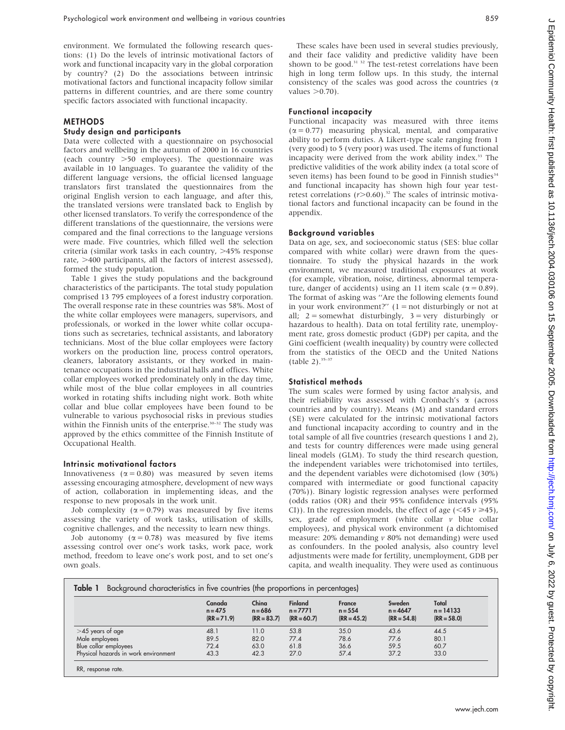environment. We formulated the following research questions: (1) Do the levels of intrinsic motivational factors of work and functional incapacity vary in the global corporation by country? (2) Do the associations between intrinsic motivational factors and functional incapacity follow similar patterns in different countries, and are there some country specific factors associated with functional incapacity.

#### **METHODS**

#### Study design and participants

Data were collected with a questionnaire on psychosocial factors and wellbeing in the autumn of 2000 in 16 countries (each country  $>50$  employees). The questionnaire was available in 10 languages. To guarantee the validity of the different language versions, the official licensed language translators first translated the questionnaires from the original English version to each language, and after this, the translated versions were translated back to English by other licensed translators. To verify the correspondence of the different translations of the questionnaire, the versions were compared and the final corrections to the language versions were made. Five countries, which filled well the selection criteria (similar work tasks in each country,  $>45\%$  response rate,  $>400$  participants, all the factors of interest assessed), formed the study population.

Table 1 gives the study populations and the background characteristics of the participants. The total study population comprised 13 795 employees of a forest industry corporation. The overall response rate in these countries was 58%. Most of the white collar employees were managers, supervisors, and professionals, or worked in the lower white collar occupations such as secretaries, technical assistants, and laboratory technicians. Most of the blue collar employees were factory workers on the production line, process control operators, cleaners, laboratory assistants, or they worked in maintenance occupations in the industrial halls and offices. White collar employees worked predominately only in the day time, while most of the blue collar employees in all countries worked in rotating shifts including night work. Both white collar and blue collar employees have been found to be vulnerable to various psychosocial risks in previous studies within the Finnish units of the enterprise. $30-32$  The study was approved by the ethics committee of the Finnish Institute of Occupational Health.

#### Intrinsic motivational factors

Innovativeness ( $\alpha = 0.80$ ) was measured by seven items assessing encouraging atmosphere, development of new ways of action, collaboration in implementing ideas, and the response to new proposals in the work unit.

Job complexity ( $\alpha = 0.79$ ) was measured by five items assessing the variety of work tasks, utilisation of skills, cognitive challenges, and the necessity to learn new things.

Job autonomy ( $\alpha = 0.78$ ) was measured by five items assessing control over one's work tasks, work pace, work method, freedom to leave one's work post, and to set one's own goals.

These scales have been used in several studies previously, and their face validity and predictive validity have been shown to be good.<sup>31</sup> <sup>32</sup> The test-retest correlations have been high in long term follow ups. In this study, the internal consistency of the scales was good across the countries ( $\alpha$ ) values  $>0.70$ ).

#### Functional incapacity

Functional incapacity was measured with three items  $(\alpha = 0.77)$  measuring physical, mental, and comparative ability to perform duties. A Likert-type scale ranging from 1 (very good) to 5 (very poor) was used. The items of functional incapacity were derived from the work ability index.<sup>33</sup> The predictive validities of the work ability index (a total score of seven items) has been found to be good in Finnish studies<sup>34</sup> and functional incapacity has shown high four year testretest correlations  $(r>0.60)$ .<sup>32</sup> The scales of intrinsic motivational factors and functional incapacity can be found in the appendix.

#### Background variables

Data on age, sex, and socioeconomic status (SES: blue collar compared with white collar) were drawn from the questionnaire. To study the physical hazards in the work environment, we measured traditional exposures at work (for example, vibration, noise, dirtiness, abnormal temperature, danger of accidents) using an 11 item scale ( $\alpha = 0.89$ ). The format of asking was ''Are the following elements found in your work environment?"  $(1 = not \, \, \text{disturbingly} \, \, \text{or} \, \, \text{not} \, \, \text{at} \, \, \text{or} \, \, \text{not} \, \, \text{or} \, \, \text{not} \, \, \text{or} \, \, \text{not} \, \, \text{or} \, \, \text{not} \, \, \text{not} \, \, \text{not} \, \, \text{not} \, \, \text{not} \, \, \text{not} \, \, \text{not} \, \, \text{not} \, \, \text{not} \, \, \text$ all;  $2 =$ somewhat disturbingly,  $3 =$ very disturbingly or hazardous to health). Data on total fertility rate, unemployment rate, gross domestic product (GDP) per capita, and the Gini coefficient (wealth inequality) by country were collected from the statistics of the OECD and the United Nations (table 2).35–37

#### Statistical methods

The sum scales were formed by using factor analysis, and their reliability was assessed with Cronbach's  $\alpha$  (across countries and by country). Means (M) and standard errors (SE) were calculated for the intrinsic motivational factors and functional incapacity according to country and in the total sample of all five countries (research questions 1 and 2), and tests for country differences were made using general lineal models (GLM). To study the third research question, the independent variables were trichotomised into tertiles, and the dependent variables were dichotomised (low (30%) compared with intermediate or good functional capacity (70%)). Binary logistic regression analyses were performed (odds ratios (OR) and their 95% confidence intervals (95% CI)). In the regression models, the effect of age  $(< 45 v \ge 45)$ , sex, grade of employment (white collar  $\nu$  blue collar employees), and physical work environment (a dichtomised measure: 20% demanding v 80% not demanding) were used as confounders. In the pooled analysis, also country level adjustments were made for fertility, unemployment, GDB per capita, and wealth inequality. They were used as continuous

|                                      | Canada<br>$n = 475$<br>$(RR = 71.9)$ | China<br>$n = 686$<br>$(RR = 83.7)$ | Finland<br>$n = 7771$<br>$(RR = 60.7)$ | France<br>$n = 554$<br>$(RR = 45.2)$ | Sweden<br>$n = 4647$<br>$(RR = 54.8)$ | Total<br>$n = 14133$<br>$(RR = 58.0)$ |
|--------------------------------------|--------------------------------------|-------------------------------------|----------------------------------------|--------------------------------------|---------------------------------------|---------------------------------------|
| $>45$ years of age                   | 48.1                                 | 11.0                                | 53.8                                   | 35.0                                 | 43.6                                  | 44.5                                  |
| Male employees                       | 89.5                                 | 82.0                                | 77.4                                   | 78.6                                 | 77.6                                  | 80.1                                  |
| Blue collar employees                | 72.4                                 | 63.0                                | 61.8                                   | 36.6                                 | 59.5                                  | 60.7                                  |
| Physical hazards in work environment | 43.3                                 | 42.3                                | 27.0                                   | 57.4                                 | 37.2                                  | 33.0                                  |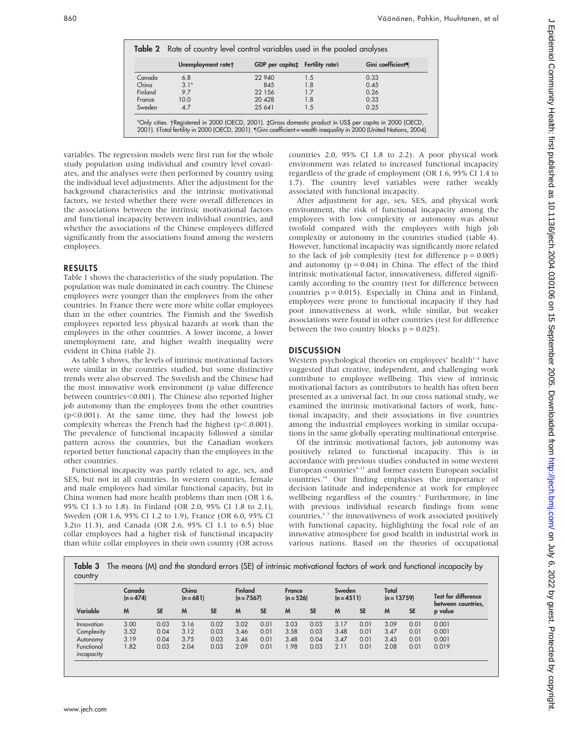|         | Unemployment ratet | GDP per capita‡ Fertility rates |     | Gini coefficient¶ |
|---------|--------------------|---------------------------------|-----|-------------------|
| Canada  | 6.8                | 22 940                          | 1.5 | 0.33              |
| China   | $3.1*$             | 845                             | 1.8 | 0.45              |
| Finland | 97                 | 22 156                          | 1.7 | 0.26              |
| France  | 10.0               | 20 4 28                         | 1.8 | 0.33              |
| Sweden  | 47                 | 25 641                          | 1.5 | 0.25              |

variables. The regression models were first run for the whole study population using individual and country level covariates, and the analyses were then performed by country using the individual level adjustments. After the adjustment for the background characteristics and the intrinsic motivational factors, we tested whether there were overall differences in the associations between the intrinsic motivational factors and functional incapacity between individual countries, and whether the associations of the Chinese employees differed significantly from the associations found among the western employees.

#### RESULTS

Table 1 shows the characteristics of the study population. The population was male dominated in each country. The Chinese employees were younger than the employees from the other countries. In France there were more white collar employees than in the other countries. The Finnish and the Swedish employees reported less physical hazards at work than the employees in the other countries. A lower income, a lower unemployment rate, and higher wealth inequality were evident in China (table 2).

As table 3 shows, the levels of intrinsic motivational factors were similar in the countries studied, but some distinctive trends were also observed. The Swedish and the Chinese had the most innovative work environment (p value difference between countries<0.001). The Chinese also reported higher job autonomy than the employees from the other countries  $(p<0.001)$ . At the same time, they had the lowest job complexity whereas the French had the highest ( $p<.0.001$ ). The prevalence of functional incapacity followed a similar pattern across the countries, but the Canadian workers reported better functional capacity than the employees in the other countries.

Functional incapacity was partly related to age, sex, and SES, but not in all countries. In western countries, female and male employees had similar functional capacity, but in China women had more health problems than men (OR 1.6, 95% CI 1.3 to 1.8). In Finland (OR 2.0, 95% CI 1.8 to 2.1), Sweden (OR 1.6, 95% CI 1.2 to 1.9), France (OR 6.0, 95% CI 3.2to 11.3), and Canada (OR 2.6, 95% CI 1.1 to 6.5) blue collar employees had a higher risk of functional incapacity than white collar employees in their own country (OR across

countries 2.0, 95% CI 1.8 to 2.2). A poor physical work environment was related to increased functional incapacity regardless of the grade of employment (OR 1.6, 95% CI 1.4 to 1.7). The country level variables were rather weakly associated with functional incapacity.

After adjustment for age, sex, SES, and physical work environment, the risk of functional incapacity among the employees with low complexity or autonomy was about twofold compared with the employees with high job complexity or autonomy in the countries studied (table 4). However, functional incapacity was significantly more related to the lack of job complexity (test for difference  $p = 0.005$ ) and autonomy  $(p = 0.04)$  in China. The effect of the third intrinsic motivational factor, innovativeness, differed significantly according to the country (test for difference between countries  $p = 0.015$ ). Especially in China and in Finland, employees were prone to functional incapacity if they had poor innovativeness at work, while similar, but weaker associations were found in other countries (test for difference between the two country blocks  $p = 0.025$ ).

#### **DISCUSSION**

Western psychological theories on employees' health<sup>1-4</sup> have suggested that creative, independent, and challenging work contribute to employee wellbeing. This view of intrinsic motivational factors as contributors to health has often been presented as a universal fact. In our cross national study, we examined the intrinsic motivational factors of work, functional incapacity, and their associations in five countries among the industrial employees working in similar occupations in the same globally operating multinational enterprise.

Of the intrinsic motivational factors, job autonomy was positively related to functional incapacity. This is in accordance with previous studies conducted in some western European countries<sup>6-11</sup> and former eastern European socialist countries.14 Our finding emphasises the importance of decision latitude and independence at work for employee wellbeing regardless of the country.<sup>1</sup> Furthermore, in line with previous individual research findings from some countries,<sup>57</sup> the innovativeness of work associated positively with functional capacity, highlighting the focal role of an innovative atmosphere for good health in industrial work in various nations. Based on the theories of occupational

Table 3 The means (M) and the standard errors (SE) of intrinsic motivational factors of work and functional incapacity by country

|                                      | China<br>Canada<br>$(n = 474)$<br>$(n = 681)$ |              |              | <b>Finland</b><br>France<br>$(n = 7567)$<br>$(n = 526)$ |              | Sweden<br>$(n = 4511)$ |              | Total<br>$(n = 13759)$ |              | <b>Test for difference</b><br>between countries, |              |              |                |
|--------------------------------------|-----------------------------------------------|--------------|--------------|---------------------------------------------------------|--------------|------------------------|--------------|------------------------|--------------|--------------------------------------------------|--------------|--------------|----------------|
| Variable                             | M                                             | <b>SE</b>    | M            | <b>SE</b>                                               | M            | <b>SE</b>              | M            | <b>SE</b>              | M            | <b>SE</b>                                        | M            | <b>SE</b>    | p value        |
| Innovation<br>Complexity             | 3.00<br>3.52                                  | 0.03<br>0.04 | 3.16<br>3.12 | 0.02<br>0.03                                            | 3.02<br>3.46 | 0.01<br>0.01           | 3.03<br>3.58 | 0.03<br>0.03           | 3.17<br>3.48 | 0.01<br>0.01                                     | 3.09<br>3.47 | 0.01<br>0.01 | 0.001<br>0.001 |
| Autonomy<br>Functional<br>incapacity | 3.19<br>1.82                                  | 0.04<br>0.03 | 3.75<br>2.04 | 0.03<br>0.03                                            | 3.46<br>2.09 | 0.01<br>0.01           | 3.48<br>.98  | 0.04<br>0.03           | 3.47<br>2.11 | 0.01<br>0.01                                     | 3.45<br>2.08 | 0.01<br>0.01 | 0.001<br>0.019 |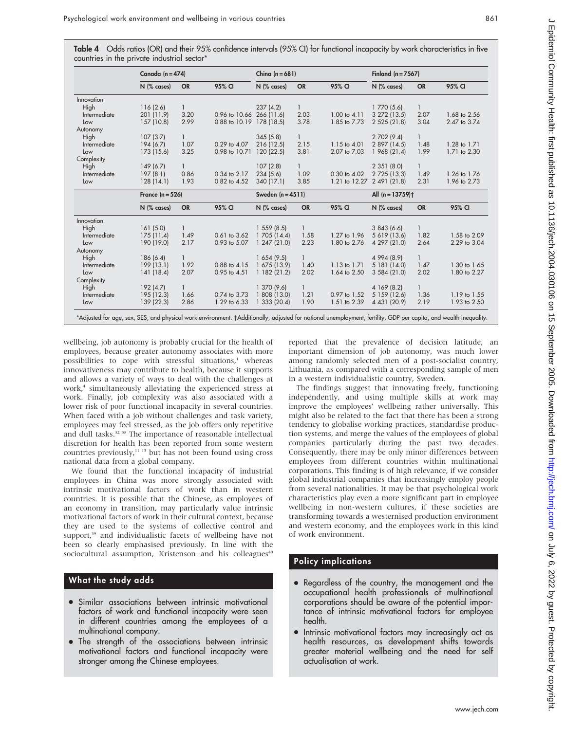|  | Table 4 Odds ratios (OR) and their 95% confidence intervals (95% CI) for functional incapacity by work characteristics in five |  |  |  |  |
|--|--------------------------------------------------------------------------------------------------------------------------------|--|--|--|--|
|  | countries in the private industrial sector*                                                                                    |  |  |  |  |

|              | Canada $(n = 474)$ |              |                          | China $(n = 681)$   |              |                            | Finland $(n = 7567)$           |              |              |  |
|--------------|--------------------|--------------|--------------------------|---------------------|--------------|----------------------------|--------------------------------|--------------|--------------|--|
|              | N (% cases)        | <b>OR</b>    | 95% CI                   | N (% cases)         | <b>OR</b>    | 95% CI                     | $N$ (% cases)                  | <b>OR</b>    | 95% CI       |  |
| Innovation   |                    |              |                          |                     |              |                            |                                |              |              |  |
| High         | 116(2.6)           | $\mathbf{1}$ |                          | 237(4.2)            | $\mathbf{1}$ |                            | 1770(5.6)                      | $\mathbf{1}$ |              |  |
| Intermediate | 201 (11.9)         | 3.20         | 0.96 to 10.66 266 (11.6) |                     | 2.03         | 1.00 to 4.11               | 3 272 (13.5)                   | 2.07         | 1.68 to 2.56 |  |
| Low          | 157 (10.8)         | 2.99         | 0.88 to 10.19 178 (18.5) |                     | 3.78         | 1.85 to 7.73               | 2 5 25 (21.8)                  | 3.04         | 2.47 to 3.74 |  |
| Autonomy     |                    |              |                          |                     |              |                            |                                |              |              |  |
| High         | 107(3.7)           | $\mathbf{1}$ |                          | 345(5.8)            | 1            |                            | 2 702 (9.4)                    |              |              |  |
| Intermediate | 194(6.7)           | 1.07         | 0.29 to 4.07             | 216(12.5)           | 2.15         | 1.15 to 4.01               | 2 897 (14.5)                   | 1.48         | 1.28 to 1.71 |  |
| Low          | 173 (15.6)         | 3.25         | 0.98 to 10.71            | 120(22.5)           | 3.81         | 2.07 to 7.03               | 1 968 (21.4)                   | 1.99         | 1.71 to 2.30 |  |
| Complexity   |                    |              |                          |                     |              |                            |                                |              |              |  |
| High         | 149(6.7)           | $\mathbf{1}$ |                          | 107(2.8)            | $\mathbf{1}$ |                            | 2351(8.0)                      | $\mathbf{1}$ |              |  |
| Intermediate | 197(8.1)           | 0.86         | 0.34 to 2.17             | 234(5.6)            | 1.09         | 0.30 to 4.02               | 2 7 2 5 (13.3)                 | 1.49         | 1.26 to 1.76 |  |
| Low          | 128(14.1)          | 1.93         | 0.82 to 4.52             | 340 (17.1)          | 3.85         | 1.21 to 12.27 2 491 (21.8) |                                | 2.31         | 1.96 to 2.73 |  |
|              | France $(n = 526)$ |              |                          | Sweden $(n = 4511)$ |              |                            | All $(n = 13759)$ <sup>+</sup> |              |              |  |
|              | N (% cases)        | <b>OR</b>    | 95% CI                   | N (% cases)         | <b>OR</b>    | 95% CI                     | $N$ (% cases)                  | <b>OR</b>    | 95% CI       |  |
| Innovation   |                    |              |                          |                     |              |                            |                                |              |              |  |
| High         | 161(5.0)           | $\mathbf{1}$ |                          | 1,559(8.5)          | 1            |                            | 3843(6.6)                      |              |              |  |
| Intermediate | 175(11.4)          | 1.49         | 0.61 to 3.62             | 1705(14.4)          | 1.58         | 1.27 to 1.96               | 5 619 (13.6)                   | 1.82         | 1.58 to 2.09 |  |
| Low          | 190 (19.0)         | 2.17         | 0.93 to 5.07             | 1247(21.0)          | 2.23         | 1.80 to 2.76               | 4 297 (21.0)                   | 2.64         | 2.29 to 3.04 |  |
| Autonomy     |                    |              |                          |                     |              |                            |                                |              |              |  |
| High         | 186 (6.4)          | $\mathbf{1}$ |                          | 1,654(9.5)          | $\mathbf{1}$ |                            | 4 9 94 (8.9)                   | 1            |              |  |
| Intermediate | 199 (13.1)         | 1.92         | 0.88 to 4.15             | 1 675 (13.9)        | 1.40         | $1.13$ to $1.71$           | 5 181 (14.0)                   | 1.47         | 1.30 to 1.65 |  |
| Low          | 141(18.4)          | 2.07         | 0.95 to 4.51             | 1182(21.2)          | 2.02         | 1.64 to 2.50               | 3 584 (21.0)                   | 2.02         | 1.80 to 2.27 |  |
| Complexity   |                    |              |                          |                     |              |                            |                                |              |              |  |
| High         | 192(4.7)           | $\mathbf{1}$ |                          | 1,370(9.6)          | $\mathbf{1}$ |                            | 4 169 (8.2)                    | $\mathbf{1}$ |              |  |
|              | 195 (12.3)         | 1.66         | 0.74 to 3.73             | 1 808 (13.0)        | 1.21         | 0.97 to 1.52               | 5 159 (12.6)                   | 1.36         | 1.19 to 1.55 |  |
| Intermediate |                    |              |                          |                     |              | 1.51 to 2.39               | 4 431 (20.9)                   | 2.19         |              |  |

wellbeing, job autonomy is probably crucial for the health of employees, because greater autonomy associates with more possibilities to cope with stressful situations,<sup>1</sup> whereas innovativeness may contribute to health, because it supports and allows a variety of ways to deal with the challenges at work,<sup>4</sup> simultaneously alleviating the experienced stress at work. Finally, job complexity was also associated with a lower risk of poor functional incapacity in several countries. When faced with a job without challenges and task variety, employees may feel stressed, as the job offers only repetitive and dull tasks.<sup>32</sup> <sup>38</sup> The importance of reasonable intellectual discretion for health has been reported from some western countries previously, $11/13$  but has not been found using cross national data from a global company.

We found that the functional incapacity of industrial employees in China was more strongly associated with intrinsic motivational factors of work than in western countries. It is possible that the Chinese, as employees of an economy in transition, may particularly value intrinsic motivational factors of work in their cultural context, because they are used to the systems of collective control and support,<sup>39</sup> and individualistic facets of wellbeing have not been so clearly emphasised previously. In line with the sociocultural assumption, Kristenson and his colleagues<sup>4</sup>

### What the study adds

- Similar associations between intrinsic motivational factors of work and functional incapacity were seen in different countries among the employees of a multinational company.
- The strength of the associations between intrinsic motivational factors and functional incapacity were stronger among the Chinese employees.

reported that the prevalence of decision latitude, an important dimension of job autonomy, was much lower among randomly selected men of a post-socialist country, Lithuania, as compared with a corresponding sample of men in a western individualistic country, Sweden.

The findings suggest that innovating freely, functioning independently, and using multiple skills at work may improve the employees' wellbeing rather universally. This might also be related to the fact that there has been a strong tendency to globalise working practices, standardise production systems, and merge the values of the employees of global companies particularly during the past two decades. Consequently, there may be only minor differences between employees from different countries within multinational corporations. This finding is of high relevance, if we consider global industrial companies that increasingly employ people from several nationalities. It may be that psychological work characteristics play even a more significant part in employee wellbeing in non-western cultures, if these societies are transforming towards a westernised production environment and western economy, and the employees work in this kind of work environment.

## Policy implications

- Regardless of the country, the management and the occupational health professionals of multinational corporations should be aware of the potential importance of intrinsic motivational factors for employee health.
- Intrinsic motivational factors may increasingly act as health resources, as development shifts towards greater material wellbeing and the need for self actualisation at work.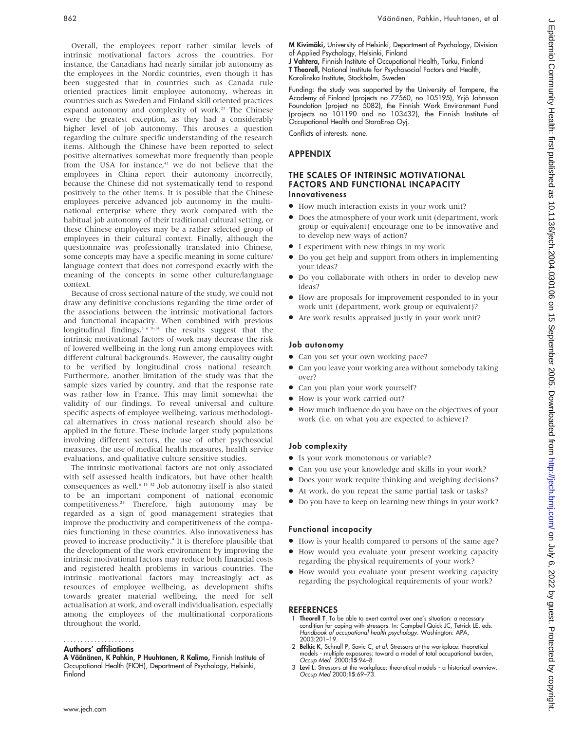Overall, the employees report rather similar levels of intrinsic motivational factors across the countries. For instance, the Canadians had nearly similar job autonomy as the employees in the Nordic countries, even though it has been suggested that in countries such as Canada rule oriented practices limit employee autonomy, whereas in countries such as Sweden and Finland skill oriented practices expand autonomy and complexity of work.<sup>23</sup> The Chinese were the greatest exception, as they had a considerably higher level of job autonomy. This arouses a question regarding the culture specific understanding of the research items. Although the Chinese have been reported to select positive alternatives somewhat more frequently than people from the USA for instance,<sup>41</sup> we do not believe that the employees in China report their autonomy incorrectly, because the Chinese did not systematically tend to respond positively to the other items. It is possible that the Chinese employees perceive advanced job autonomy in the multinational enterprise where they work compared with the habitual job autonomy of their traditional cultural setting, or these Chinese employees may be a rather selected group of employees in their cultural context. Finally, although the questionnaire was professionally translated into Chinese, some concepts may have a specific meaning in some culture/ language context that does not correspond exactly with the meaning of the concepts in some other culture/language context.

Because of cross sectional nature of the study, we could not draw any definitive conclusions regarding the time order of the associations between the intrinsic motivational factors and functional incapacity. When combined with previous longitudinal findings,<sup>5 6 9–14</sup> the results suggest that the intrinsic motivational factors of work may decrease the risk of lowered wellbeing in the long run among employees with different cultural backgrounds. However, the causality ought to be verified by longitudinal cross national research. Furthermore, another limitation of the study was that the sample sizes varied by country, and that the response rate was rather low in France. This may limit somewhat the validity of our findings. To reveal universal and culture specific aspects of employee wellbeing, various methodological alternatives in cross national research should also be applied in the future. These include larger study populations involving different sectors, the use of other psychosocial measures, the use of medical health measures, health service evaluations, and qualitative culture sensitive studies.

The intrinsic motivational factors are not only associated with self assessed health indicators, but have other health consequences as well.6 13 32 Job autonomy itself is also stated to be an important component of national economic competitiveness.23 Therefore, high autonomy may be regarded as a sign of good management strategies that improve the productivity and competitiveness of the companies functioning in these countries. Also innovativeness has proved to increase productivity.<sup>4</sup> It is therefore plausible that the development of the work environment by improving the intrinsic motivational factors may reduce both financial costs and registered health problems in various countries. The intrinsic motivational factors may increasingly act as resources of employee wellbeing, as development shifts towards greater material wellbeing, the need for self actualisation at work, and overall individualisation, especially among the employees of the multinational corporations throughout the world.

#### Authors' affiliations .....................

A Väänänen, K Pahkin, P Huuhtanen, R Kalimo, Finnish Institute of Occupational Health (FIOH), Department of Psychology, Helsinki, Finland

M Kivimäki, University of Helsinki, Department of Psychology, Division of Applied Psychology, Helsinki, Finland

J Vahtera, Finnish Institute of Occupational Health, Turku, Finland T Theorell, National Institute for Psychosocial Factors and Health, Karolinska Institute, Stockholm, Sweden

Funding: the study was supported by the University of Tampere, the Academy of Finland (projects no 77560, no 105195), Yrjo¨ Jahnsson Foundation (project no 5082), the Finnish Work Environment Fund (projects no 101190 and no 103432), the Finnish Institute of Occupational Health and StoraEnso Oyj.

Conflicts of interests: none.

## APPENDIX

#### THE SCALES OF INTRINSIC MOTIVATIONAL FACTORS AND FUNCTIONAL INCAPACITY Innovativeness

- $\bullet$  How much interaction exists in your work unit?
- Does the atmosphere of your work unit (department, work group or equivalent) encourage one to be innovative and to develop new ways of action?
- N I experiment with new things in my work
- N Do you get help and support from others in implementing your ideas?
- Do you collaborate with others in order to develop new ideas?
- N How are proposals for improvement responded to in your work unit (department, work group or equivalent)?
- Are work results appraised justly in your work unit?

## Job autonomy

- Can you set your own working pace?
- Can you leave your working area without somebody taking over?
- Can you plan your work yourself?
- How is your work carried out?
- $\bullet$  How much influence do you have on the objectives of your work (i.e. on what you are expected to achieve)?

## Job complexity

- Is your work monotonous or variable?
- Can you use your knowledge and skills in your work?
- $\bullet$  Does your work require thinking and weighing decisions?
- At work, do you repeat the same partial task or tasks?
- N Do you have to keep on learning new things in your work?

### Functional incapacity

- $\bullet$  How is your health compared to persons of the same age?
- $\bullet$  How would you evaluate your present working capacity regarding the physical requirements of your work?
- How would you evaluate your present working capacity regarding the psychological requirements of your work?

### REFERENCES

- 1 Theorell T. To be able to exert control over one's situation: a necessary condition for coping with stressors. In: Campbell Quick JC, Tetrick LE, eds. Handbook of occupational health psychology. Washington: APA, 2003:201–19.
- 2 Belkic K, Schnall P, Savic C, et al. Stressors at the workplace: theoretical models - multiple exposures: toward a model of total occupational burden, Occup Med 2000;15:94–8.
- 3 Levi L. Stressors at the workplace: theoretical models a historical overview. Occup Med 2000;15:69–73.